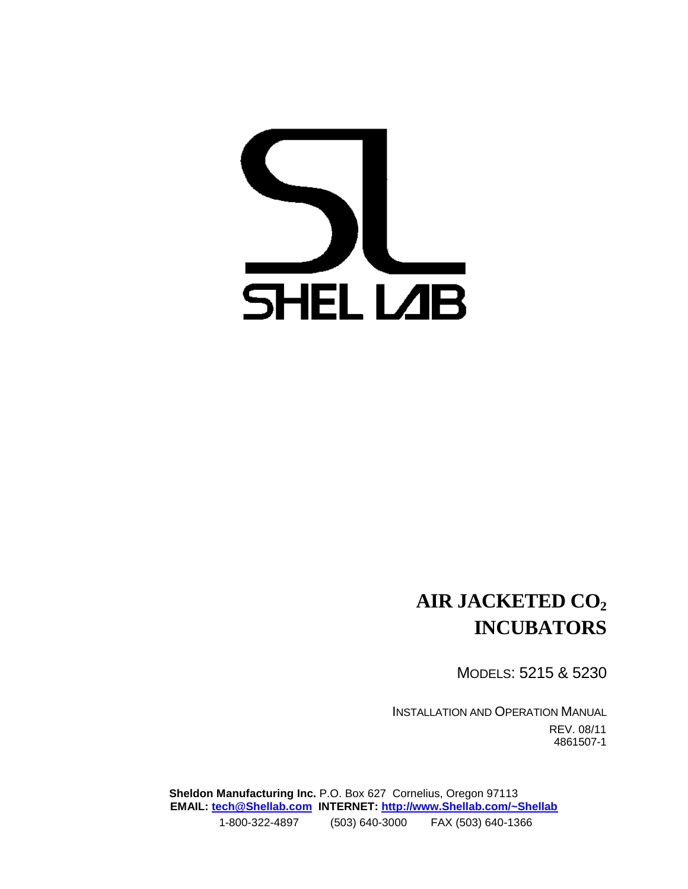# **SHELLAB**

### **AIR JACKETED CO<sup>2</sup> INCUBATORS**

MODELS: 5215 & 5230

INSTALLATION AND OPERATION MANUAL REV. 08/11 4861507-1

**Sheldon Manufacturing Inc.** P.O. Box 627 Cornelius, Oregon 97113 **EMAIL: [tech@Shellab.com](mailto:tech@Shellab.com) INTERNET: [http://www.Shellab.com/~Shellab](http://www.shellab.com/~Shellab)** 1-800-322-4897 (503) 640-3000 FAX (503) 640-1366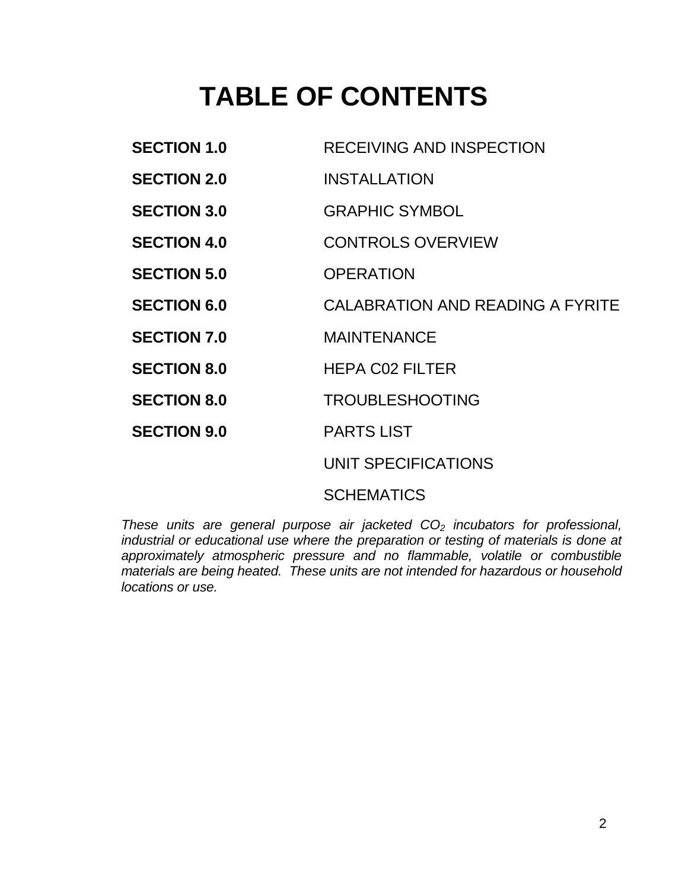## **TABLE OF CONTENTS**

| <b>SECTION 1.0</b> | RECEIVING AND INSPECTION         |
|--------------------|----------------------------------|
| <b>SECTION 2.0</b> | <b>INSTALLATION</b>              |
| <b>SECTION 3.0</b> | <b>GRAPHIC SYMBOL</b>            |
| <b>SECTION 4.0</b> | <b>CONTROLS OVERVIEW</b>         |
| <b>SECTION 5.0</b> | <b>OPERATION</b>                 |
| <b>SECTION 6.0</b> | CALABRATION AND READING A FYRITE |
| <b>SECTION 7.0</b> | <b>MAINTENANCE</b>               |
| <b>SECTION 8.0</b> | <b>HEPA CO2 FILTER</b>           |
| <b>SECTION 8.0</b> | <b>TROUBLESHOOTING</b>           |
| <b>SECTION 9.0</b> | <b>PARTS LIST</b>                |
|                    | UNIT SPECIFICATIONS              |
|                    |                                  |

SCHEMATICS

*These units are general purpose air jacketed CO<sup>2</sup> incubators for professional, industrial or educational use where the preparation or testing of materials is done at approximately atmospheric pressure and no flammable, volatile or combustible materials are being heated. These units are not intended for hazardous or household locations or use.*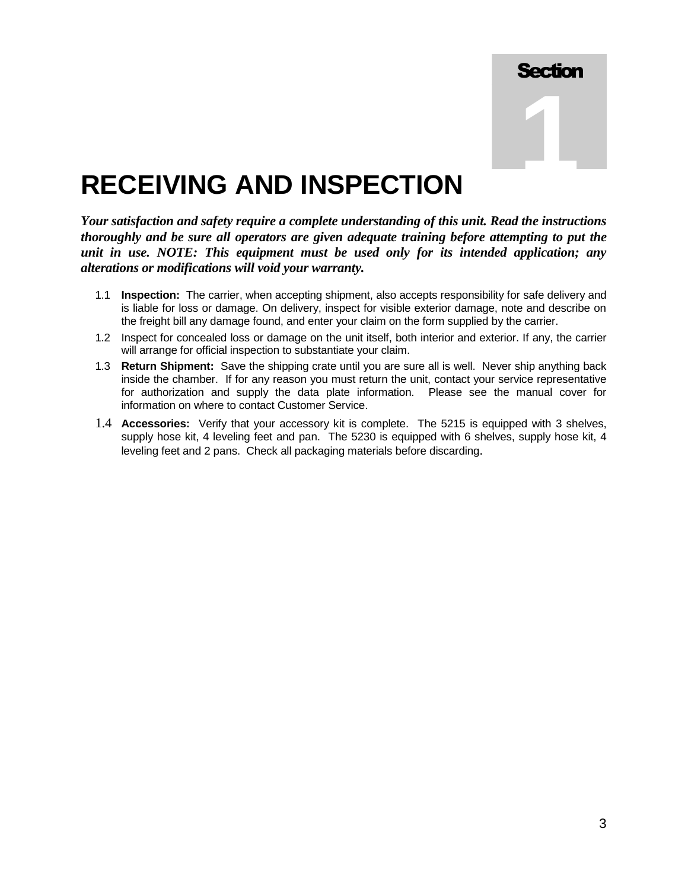

### **RECEIVING AND INSPECTION**

*Your satisfaction and safety require a complete understanding of this unit. Read the instructions thoroughly and be sure all operators are given adequate training before attempting to put the unit in use. NOTE: This equipment must be used only for its intended application; any alterations or modifications will void your warranty.*

- 1.1 **Inspection:** The carrier, when accepting shipment, also accepts responsibility for safe delivery and is liable for loss or damage. On delivery, inspect for visible exterior damage, note and describe on the freight bill any damage found, and enter your claim on the form supplied by the carrier.
- 1.2 Inspect for concealed loss or damage on the unit itself, both interior and exterior. If any, the carrier will arrange for official inspection to substantiate your claim.
- 1.3 **Return Shipment:** Save the shipping crate until you are sure all is well. Never ship anything back inside the chamber. If for any reason you must return the unit, contact your service representative for authorization and supply the data plate information. Please see the manual cover for information on where to contact Customer Service.
- 1.4 **Accessories:** Verify that your accessory kit is complete. The 5215 is equipped with 3 shelves, supply hose kit, 4 leveling feet and pan. The 5230 is equipped with 6 shelves, supply hose kit, 4 leveling feet and 2 pans. Check all packaging materials before discarding.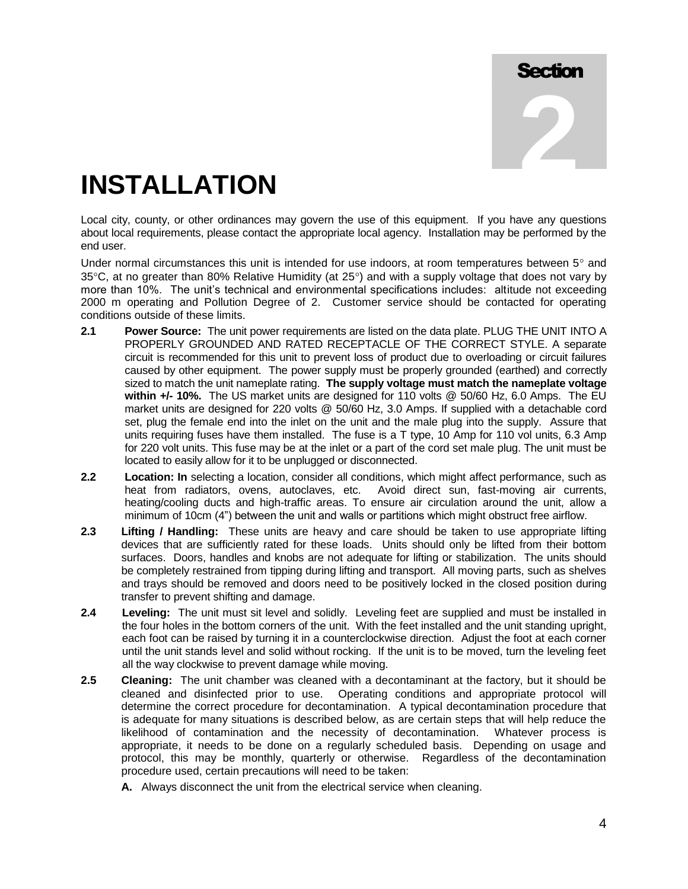**2**

## **INSTALLATION**

Local city, county, or other ordinances may govern the use of this equipment. If you have any questions about local requirements, please contact the appropriate local agency. Installation may be performed by the end user.

Under normal circumstances this unit is intended for use indoors, at room temperatures between  $5^{\circ}$  and  $35^{\circ}$ C, at no greater than 80% Relative Humidity (at  $25^{\circ}$ ) and with a supply voltage that does not vary by more than 10%. The unit's technical and environmental specifications includes: altitude not exceeding 2000 m operating and Pollution Degree of 2. Customer service should be contacted for operating conditions outside of these limits.

- **2.1 Power Source:** The unit power requirements are listed on the data plate. PLUG THE UNIT INTO A PROPERLY GROUNDED AND RATED RECEPTACLE OF THE CORRECT STYLE. A separate circuit is recommended for this unit to prevent loss of product due to overloading or circuit failures caused by other equipment. The power supply must be properly grounded (earthed) and correctly sized to match the unit nameplate rating. **The supply voltage must match the nameplate voltage within +/- 10%.** The US market units are designed for 110 volts @ 50/60 Hz, 6.0 Amps. The EU market units are designed for 220 volts @ 50/60 Hz, 3.0 Amps. If supplied with a detachable cord set, plug the female end into the inlet on the unit and the male plug into the supply. Assure that units requiring fuses have them installed. The fuse is a T type, 10 Amp for 110 vol units, 6.3 Amp for 220 volt units. This fuse may be at the inlet or a part of the cord set male plug. The unit must be located to easily allow for it to be unplugged or disconnected.
- **2.2 Location: In** selecting a location, consider all conditions, which might affect performance, such as heat from radiators, ovens, autoclaves, etc. Avoid direct sun, fast-moving air currents, heating/cooling ducts and high-traffic areas. To ensure air circulation around the unit, allow a minimum of 10cm (4") between the unit and walls or partitions which might obstruct free airflow.
- **2.3 Lifting / Handling:** These units are heavy and care should be taken to use appropriate lifting devices that are sufficiently rated for these loads. Units should only be lifted from their bottom surfaces. Doors, handles and knobs are not adequate for lifting or stabilization. The units should be completely restrained from tipping during lifting and transport. All moving parts, such as shelves and trays should be removed and doors need to be positively locked in the closed position during transfer to prevent shifting and damage.
- **2.4 Leveling:** The unit must sit level and solidly. Leveling feet are supplied and must be installed in the four holes in the bottom corners of the unit. With the feet installed and the unit standing upright, each foot can be raised by turning it in a counterclockwise direction. Adjust the foot at each corner until the unit stands level and solid without rocking. If the unit is to be moved, turn the leveling feet all the way clockwise to prevent damage while moving.
- **2.5 Cleaning:** The unit chamber was cleaned with a decontaminant at the factory, but it should be cleaned and disinfected prior to use. Operating conditions and appropriate protocol will determine the correct procedure for decontamination. A typical decontamination procedure that is adequate for many situations is described below, as are certain steps that will help reduce the likelihood of contamination and the necessity of decontamination. Whatever process is appropriate, it needs to be done on a regularly scheduled basis. Depending on usage and protocol, this may be monthly, quarterly or otherwise. Regardless of the decontamination procedure used, certain precautions will need to be taken:
	- **A.** Always disconnect the unit from the electrical service when cleaning.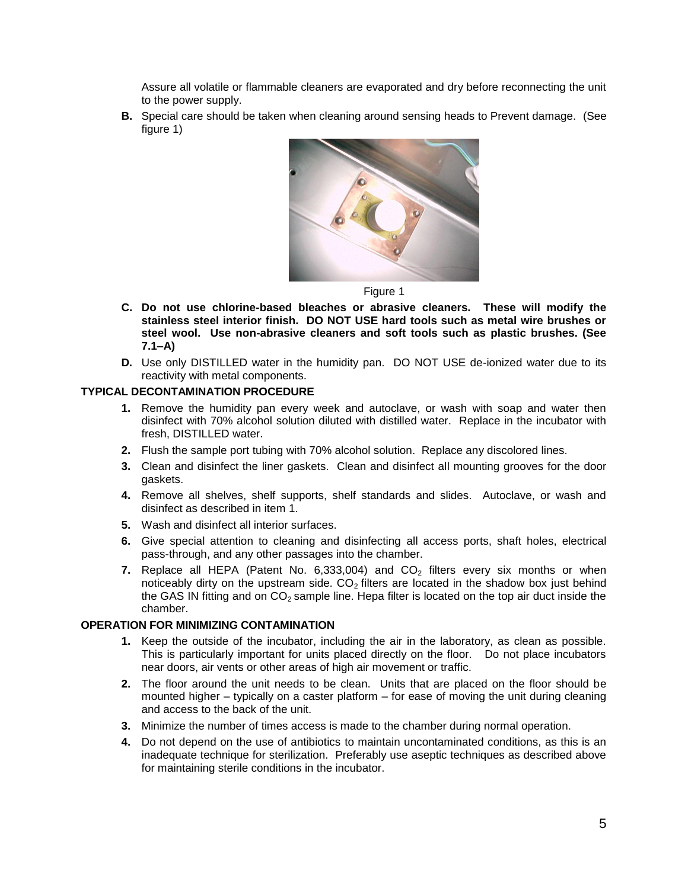Assure all volatile or flammable cleaners are evaporated and dry before reconnecting the unit to the power supply.

**B.** Special care should be taken when cleaning around sensing heads to Prevent damage. (See figure 1)



Figure 1

- **C. Do not use chlorine-based bleaches or abrasive cleaners. These will modify the stainless steel interior finish. DO NOT USE hard tools such as metal wire brushes or steel wool. Use non-abrasive cleaners and soft tools such as plastic brushes. (See 7.1–A)**
- **D.** Use only DISTILLED water in the humidity pan. DO NOT USE de-ionized water due to its reactivity with metal components.

#### **TYPICAL DECONTAMINATION PROCEDURE**

- **1.** Remove the humidity pan every week and autoclave, or wash with soap and water then disinfect with 70% alcohol solution diluted with distilled water. Replace in the incubator with fresh, DISTILLED water.
- **2.** Flush the sample port tubing with 70% alcohol solution. Replace any discolored lines.
- **3.** Clean and disinfect the liner gaskets. Clean and disinfect all mounting grooves for the door gaskets.
- **4.** Remove all shelves, shelf supports, shelf standards and slides. Autoclave, or wash and disinfect as described in item 1.
- **5.** Wash and disinfect all interior surfaces.
- **6.** Give special attention to cleaning and disinfecting all access ports, shaft holes, electrical pass-through, and any other passages into the chamber.
- **7.** Replace all HEPA (Patent No.  $6,333,004$ ) and  $CO<sub>2</sub>$  filters every six months or when noticeably dirty on the upstream side.  $CO<sub>2</sub>$  filters are located in the shadow box just behind the GAS IN fitting and on  $CO<sub>2</sub>$  sample line. Hepa filter is located on the top air duct inside the chamber.

#### **OPERATION FOR MINIMIZING CONTAMINATION**

- **1.** Keep the outside of the incubator, including the air in the laboratory, as clean as possible. This is particularly important for units placed directly on the floor. Do not place incubators near doors, air vents or other areas of high air movement or traffic.
- **2.** The floor around the unit needs to be clean. Units that are placed on the floor should be mounted higher – typically on a caster platform – for ease of moving the unit during cleaning and access to the back of the unit.
- **3.** Minimize the number of times access is made to the chamber during normal operation.
- **4.** Do not depend on the use of antibiotics to maintain uncontaminated conditions, as this is an inadequate technique for sterilization. Preferably use aseptic techniques as described above for maintaining sterile conditions in the incubator.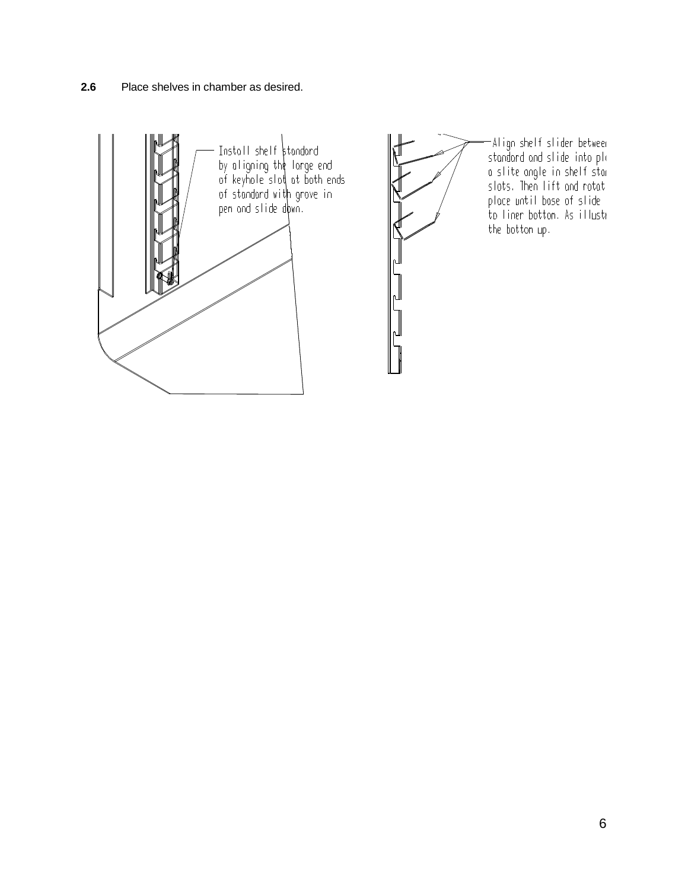**2.6** Place shelves in chamber as desired.

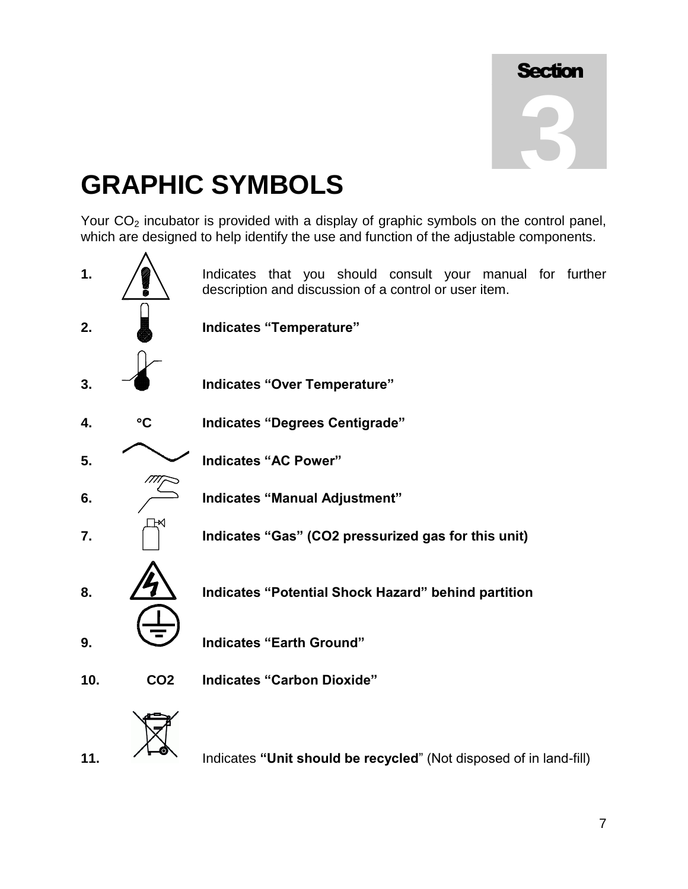## **GRAPHIC SYMBOLS**

Your  $CO<sub>2</sub>$  incubator is provided with a display of graphic symbols on the control panel, which are designed to help identify the use and function of the adjustable components.

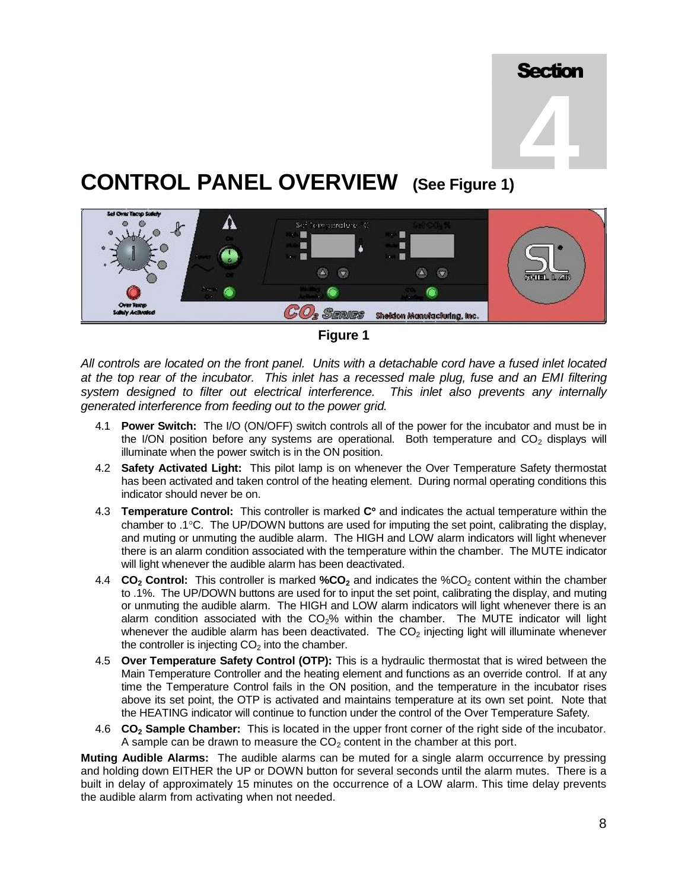

### **CONTROL PANEL OVERVIEW (See Figure 1)**



**Figure 1**

*All controls are located on the front panel. Units with a detachable cord have a fused inlet located at the top rear of the incubator. This inlet has a recessed male plug, fuse and an EMI filtering system designed to filter out electrical interference. This inlet also prevents any internally generated interference from feeding out to the power grid.*

- 4.1 **Power Switch:** The I/O (ON/OFF) switch controls all of the power for the incubator and must be in the I/ON position before any systems are operational. Both temperature and  $CO<sub>2</sub>$  displays will illuminate when the power switch is in the ON position.
- 4.2 **Safety Activated Light:** This pilot lamp is on whenever the Over Temperature Safety thermostat has been activated and taken control of the heating element. During normal operating conditions this indicator should never be on.
- 4.3 **Temperature Control:** This controller is marked C° and indicates the actual temperature within the chamber to .1°C. The UP/DOWN buttons are used for imputing the set point, calibrating the display, and muting or unmuting the audible alarm. The HIGH and LOW alarm indicators will light whenever there is an alarm condition associated with the temperature within the chamber. The MUTE indicator will light whenever the audible alarm has been deactivated.
- 4.4 **CO<sub>2</sub> Control:** This controller is marked **%CO<sub>2</sub>** and indicates the %CO<sub>2</sub> content within the chamber to .1%. The UP/DOWN buttons are used for to input the set point, calibrating the display, and muting or unmuting the audible alarm. The HIGH and LOW alarm indicators will light whenever there is an alarm condition associated with the  $CO<sub>2</sub>$ % within the chamber. The MUTE indicator will light whenever the audible alarm has been deactivated. The  $CO<sub>2</sub>$  injecting light will illuminate whenever the controller is injecting  $CO<sub>2</sub>$  into the chamber.
- 4.5 **Over Temperature Safety Control (OTP):** This is a hydraulic thermostat that is wired between the Main Temperature Controller and the heating element and functions as an override control. If at any time the Temperature Control fails in the ON position, and the temperature in the incubator rises above its set point, the OTP is activated and maintains temperature at its own set point. Note that the HEATING indicator will continue to function under the control of the Over Temperature Safety.
- 4.6 **CO<sup>2</sup> Sample Chamber:** This is located in the upper front corner of the right side of the incubator. A sample can be drawn to measure the  $CO<sub>2</sub>$  content in the chamber at this port.

**Muting Audible Alarms:** The audible alarms can be muted for a single alarm occurrence by pressing and holding down EITHER the UP or DOWN button for several seconds until the alarm mutes. There is a built in delay of approximately 15 minutes on the occurrence of a LOW alarm. This time delay prevents the audible alarm from activating when not needed.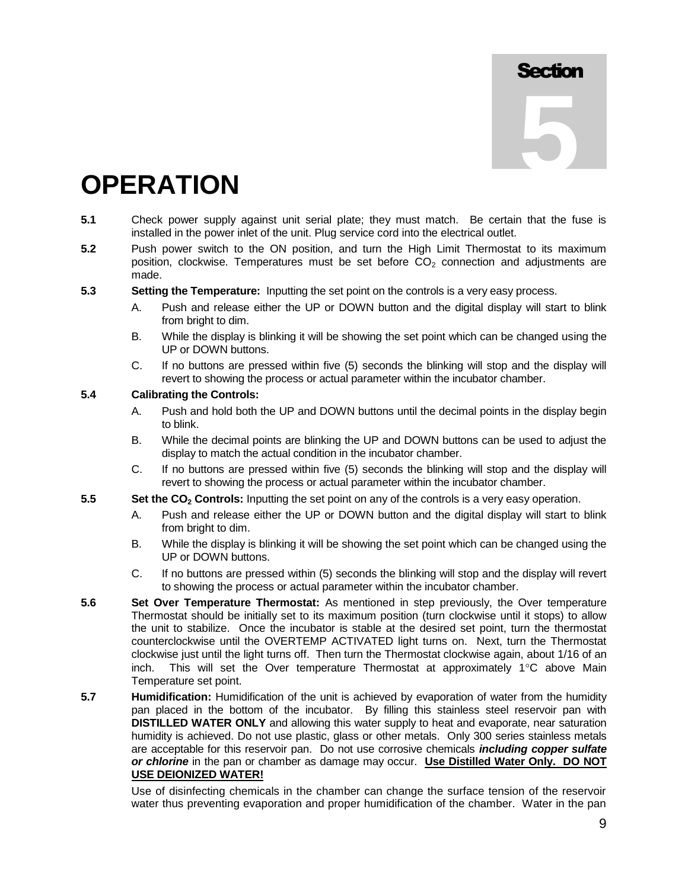### **OPERATION**

- **5.1** Check power supply against unit serial plate; they must match. Be certain that the fuse is installed in the power inlet of the unit. Plug service cord into the electrical outlet.
- **5.2** Push power switch to the ON position, and turn the High Limit Thermostat to its maximum position, clockwise. Temperatures must be set before  $CO<sub>2</sub>$  connection and adjustments are made.
- **5.3 Setting the Temperature:** Inputting the set point on the controls is a very easy process.
	- A. Push and release either the UP or DOWN button and the digital display will start to blink from bright to dim.
	- B. While the display is blinking it will be showing the set point which can be changed using the UP or DOWN buttons.
	- C. If no buttons are pressed within five (5) seconds the blinking will stop and the display will revert to showing the process or actual parameter within the incubator chamber.

#### **5.4 Calibrating the Controls:**

- A. Push and hold both the UP and DOWN buttons until the decimal points in the display begin to blink.
- B. While the decimal points are blinking the UP and DOWN buttons can be used to adjust the display to match the actual condition in the incubator chamber.
- C. If no buttons are pressed within five (5) seconds the blinking will stop and the display will revert to showing the process or actual parameter within the incubator chamber.
- **5.5 Set the CO<sup>2</sup> Controls:** Inputting the set point on any of the controls is a very easy operation.
	- A. Push and release either the UP or DOWN button and the digital display will start to blink from bright to dim.
	- B. While the display is blinking it will be showing the set point which can be changed using the UP or DOWN buttons.
	- C. If no buttons are pressed within (5) seconds the blinking will stop and the display will revert to showing the process or actual parameter within the incubator chamber.
- **5.6 Set Over Temperature Thermostat:** As mentioned in step previously, the Over temperature Thermostat should be initially set to its maximum position (turn clockwise until it stops) to allow the unit to stabilize. Once the incubator is stable at the desired set point, turn the thermostat counterclockwise until the OVERTEMP ACTIVATED light turns on. Next, turn the Thermostat clockwise just until the light turns off. Then turn the Thermostat clockwise again, about 1/16 of an inch. This will set the Over temperature Thermostat at approximately  $1^{\circ}$ C above Main Temperature set point.
- **5.7 Humidification:** Humidification of the unit is achieved by evaporation of water from the humidity pan placed in the bottom of the incubator. By filling this stainless steel reservoir pan with **DISTILLED WATER ONLY** and allowing this water supply to heat and evaporate, near saturation humidity is achieved. Do not use plastic, glass or other metals. Only 300 series stainless metals are acceptable for this reservoir pan. Do not use corrosive chemicals *including copper sulfate or chlorine* in the pan or chamber as damage may occur. **Use Distilled Water Only. DO NOT USE DEIONIZED WATER!**

Use of disinfecting chemicals in the chamber can change the surface tension of the reservoir water thus preventing evaporation and proper humidification of the chamber. Water in the pan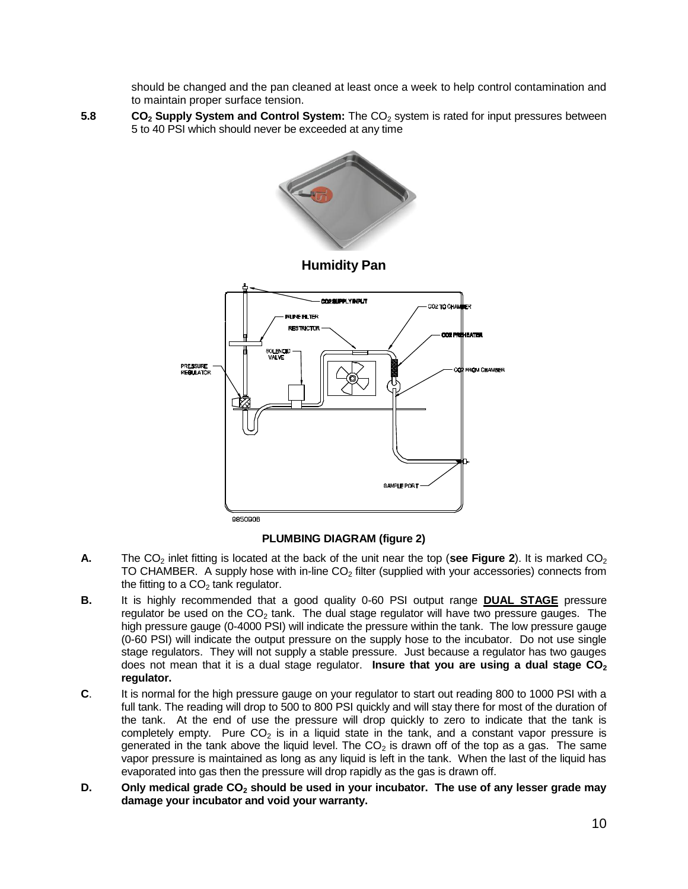should be changed and the pan cleaned at least once a week to help control contamination and to maintain proper surface tension.

**5.8 CO<sub>2</sub> Supply System and Control System:** The CO<sub>2</sub> system is rated for input pressures between 5 to 40 PSI which should never be exceeded at any time



#### **PLUMBING DIAGRAM (figure 2)**

- **A.** The CO<sub>2</sub> inlet fitting is located at the back of the unit near the top (see Figure 2). It is marked CO<sub>2</sub> TO CHAMBER. A supply hose with in-line  $CO<sub>2</sub>$  filter (supplied with your accessories) connects from the fitting to a  $CO<sub>2</sub>$  tank regulator.
- **B.** It is highly recommended that a good quality 0-60 PSI output range **DUAL STAGE** pressure regulator be used on the  $CO<sub>2</sub>$  tank. The dual stage regulator will have two pressure gauges. The high pressure gauge (0-4000 PSI) will indicate the pressure within the tank. The low pressure gauge (0-60 PSI) will indicate the output pressure on the supply hose to the incubator. Do not use single stage regulators. They will not supply a stable pressure. Just because a regulator has two gauges does not mean that it is a dual stage regulator. **Insure that you are using a dual stage CO<sup>2</sup> regulator.**
- **C**. It is normal for the high pressure gauge on your regulator to start out reading 800 to 1000 PSI with a full tank. The reading will drop to 500 to 800 PSI quickly and will stay there for most of the duration of the tank. At the end of use the pressure will drop quickly to zero to indicate that the tank is completely empty. Pure  $CO<sub>2</sub>$  is in a liquid state in the tank, and a constant vapor pressure is generated in the tank above the liquid level. The  $CO<sub>2</sub>$  is drawn off of the top as a gas. The same vapor pressure is maintained as long as any liquid is left in the tank. When the last of the liquid has evaporated into gas then the pressure will drop rapidly as the gas is drawn off.
- **D. Only medical grade CO<sup>2</sup> should be used in your incubator. The use of any lesser grade may damage your incubator and void your warranty.**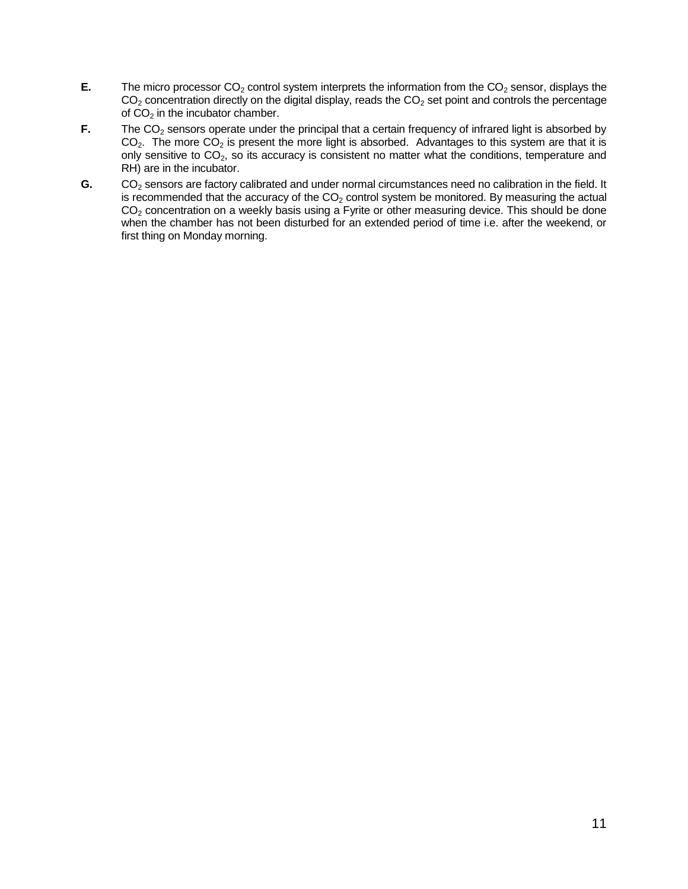- **E.** The micro processor  $CO<sub>2</sub>$  control system interprets the information from the  $CO<sub>2</sub>$  sensor, displays the  $CO<sub>2</sub>$  concentration directly on the digital display, reads the  $CO<sub>2</sub>$  set point and controls the percentage of  $CO<sub>2</sub>$  in the incubator chamber.
- **F.** The CO<sub>2</sub> sensors operate under the principal that a certain frequency of infrared light is absorbed by  $CO<sub>2</sub>$ . The more  $CO<sub>2</sub>$  is present the more light is absorbed. Advantages to this system are that it is only sensitive to  $CO<sub>2</sub>$ , so its accuracy is consistent no matter what the conditions, temperature and RH) are in the incubator.
- G. CO<sub>2</sub> sensors are factory calibrated and under normal circumstances need no calibration in the field. It is recommended that the accuracy of the  $CO<sub>2</sub>$  control system be monitored. By measuring the actual  $CO<sub>2</sub>$  concentration on a weekly basis using a Fyrite or other measuring device. This should be done when the chamber has not been disturbed for an extended period of time i.e. after the weekend, or first thing on Monday morning.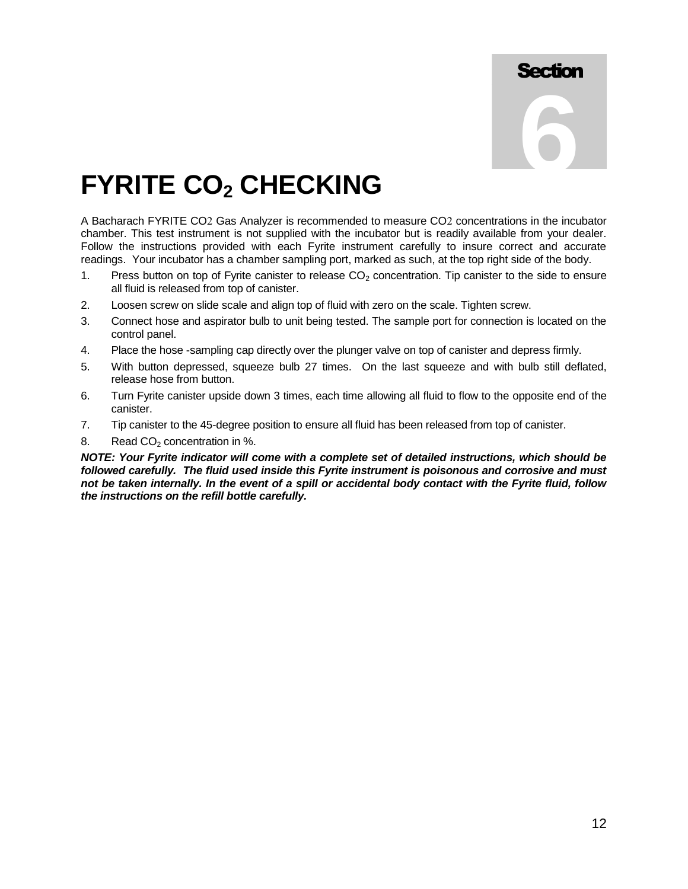## **FYRITE CO<sup>2</sup> CHECKING**

A Bacharach FYRITE CO2 Gas Analyzer is recommended to measure CO2 concentrations in the incubator chamber. This test instrument is not supplied with the incubator but is readily available from your dealer. Follow the instructions provided with each Fyrite instrument carefully to insure correct and accurate readings. Your incubator has a chamber sampling port, marked as such, at the top right side of the body.

- 1. Press button on top of Fyrite canister to release  $CO<sub>2</sub>$  concentration. Tip canister to the side to ensure all fluid is released from top of canister.
- 2. Loosen screw on slide scale and align top of fluid with zero on the scale. Tighten screw.
- 3. Connect hose and aspirator bulb to unit being tested. The sample port for connection is located on the control panel.
- 4. Place the hose -sampling cap directly over the plunger valve on top of canister and depress firmly.
- 5. With button depressed, squeeze bulb 27 times. On the last squeeze and with bulb still deflated, release hose from button.
- 6. Turn Fyrite canister upside down 3 times, each time allowing all fluid to flow to the opposite end of the canister.
- 7. Tip canister to the 45-degree position to ensure all fluid has been released from top of canister.
- 8. Read  $CO<sub>2</sub>$  concentration in %.

*NOTE: Your Fyrite indicator will come with a complete set of detailed instructions, which should be followed carefully. The fluid used inside this Fyrite instrument is poisonous and corrosive and must not be taken internally. In the event of a spill or accidental body contact with the Fyrite fluid, follow the instructions on the refill bottle carefully.*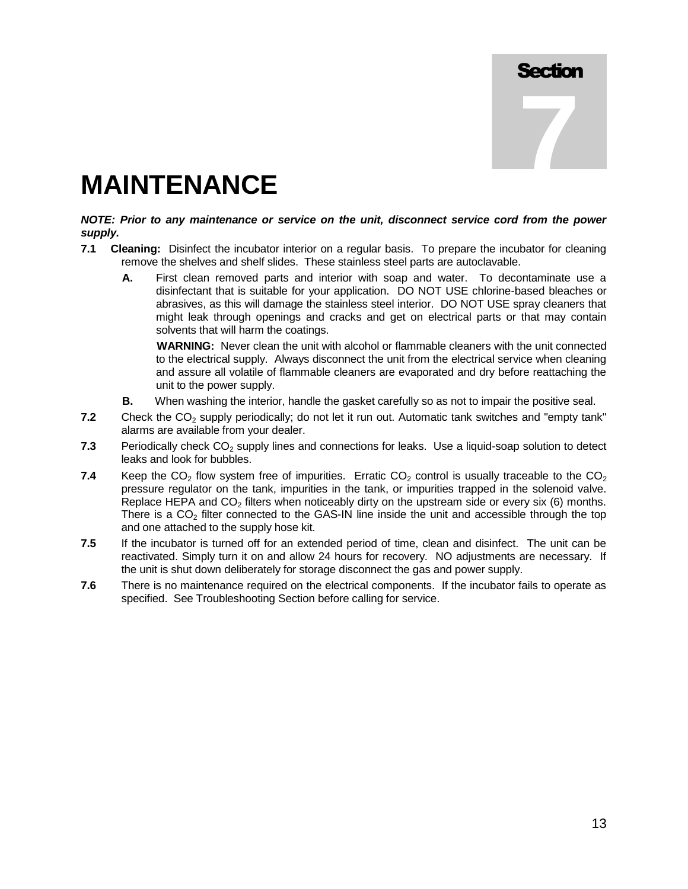**7**

## **MAINTENANCE**

#### *NOTE: Prior to any maintenance or service on the unit, disconnect service cord from the power supply.*

- **7.1 Cleaning:** Disinfect the incubator interior on a regular basis. To prepare the incubator for cleaning remove the shelves and shelf slides. These stainless steel parts are autoclavable.
	- **A.** First clean removed parts and interior with soap and water. To decontaminate use a disinfectant that is suitable for your application. DO NOT USE chlorine-based bleaches or abrasives, as this will damage the stainless steel interior. DO NOT USE spray cleaners that might leak through openings and cracks and get on electrical parts or that may contain solvents that will harm the coatings.

**WARNING:** Never clean the unit with alcohol or flammable cleaners with the unit connected to the electrical supply. Always disconnect the unit from the electrical service when cleaning and assure all volatile of flammable cleaners are evaporated and dry before reattaching the unit to the power supply.

- **B.** When washing the interior, handle the gasket carefully so as not to impair the positive seal.
- **7.2** Check the CO<sub>2</sub> supply periodically; do not let it run out. Automatic tank switches and "empty tank" alarms are available from your dealer.
- **7.3** Periodically check CO<sub>2</sub> supply lines and connections for leaks. Use a liquid-soap solution to detect leaks and look for bubbles.
- **7.4** Keep the  $CO_2$  flow system free of impurities. Erratic  $CO_2$  control is usually traceable to the  $CO_2$ pressure regulator on the tank, impurities in the tank, or impurities trapped in the solenoid valve. Replace HEPA and  $CO<sub>2</sub>$  filters when noticeably dirty on the upstream side or every six (6) months. There is a  $CO<sub>2</sub>$  filter connected to the GAS-IN line inside the unit and accessible through the top and one attached to the supply hose kit.
- **7.5** If the incubator is turned off for an extended period of time, clean and disinfect. The unit can be reactivated. Simply turn it on and allow 24 hours for recovery. NO adjustments are necessary. If the unit is shut down deliberately for storage disconnect the gas and power supply.
- **7.6** There is no maintenance required on the electrical components. If the incubator fails to operate as specified. See Troubleshooting Section before calling for service.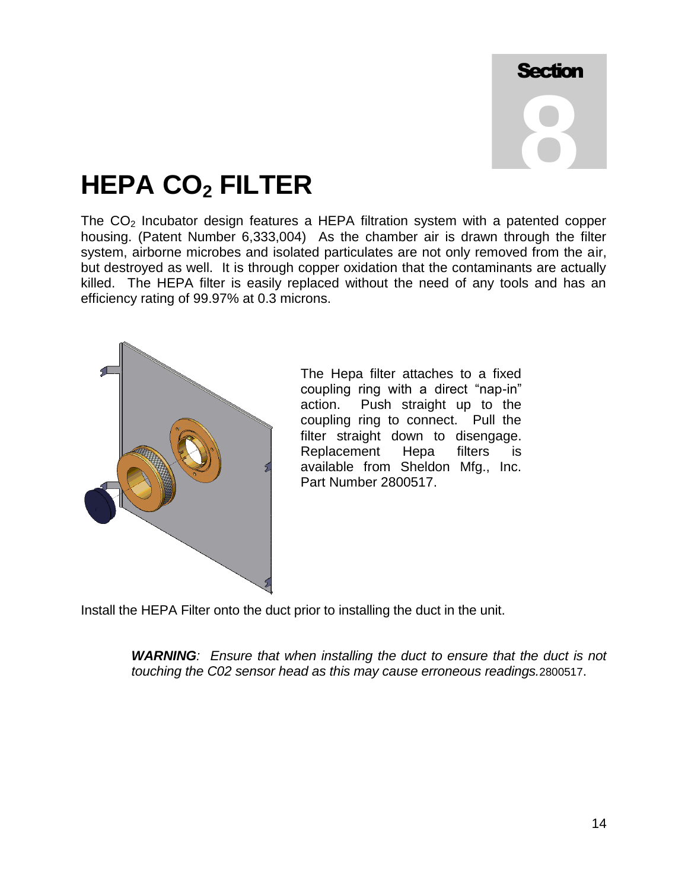## **HEPA CO<sup>2</sup> FILTER**

The  $CO<sub>2</sub>$  Incubator design features a HEPA filtration system with a patented copper housing. (Patent Number 6,333,004) As the chamber air is drawn through the filter system, airborne microbes and isolated particulates are not only removed from the air, but destroyed as well. It is through copper oxidation that the contaminants are actually killed. The HEPA filter is easily replaced without the need of any tools and has an efficiency rating of 99.97% at 0.3 microns.



The Hepa filter attaches to a fixed coupling ring with a direct "nap-in" action. Push straight up to the coupling ring to connect. Pull the filter straight down to disengage. Replacement Hepa filters is available from Sheldon Mfg., Inc. Part Number 2800517.

Install the HEPA Filter onto the duct prior to installing the duct in the unit.

*WARNING: Ensure that when installing the duct to ensure that the duct is not touching the C02 sensor head as this may cause erroneous readings.*2800517.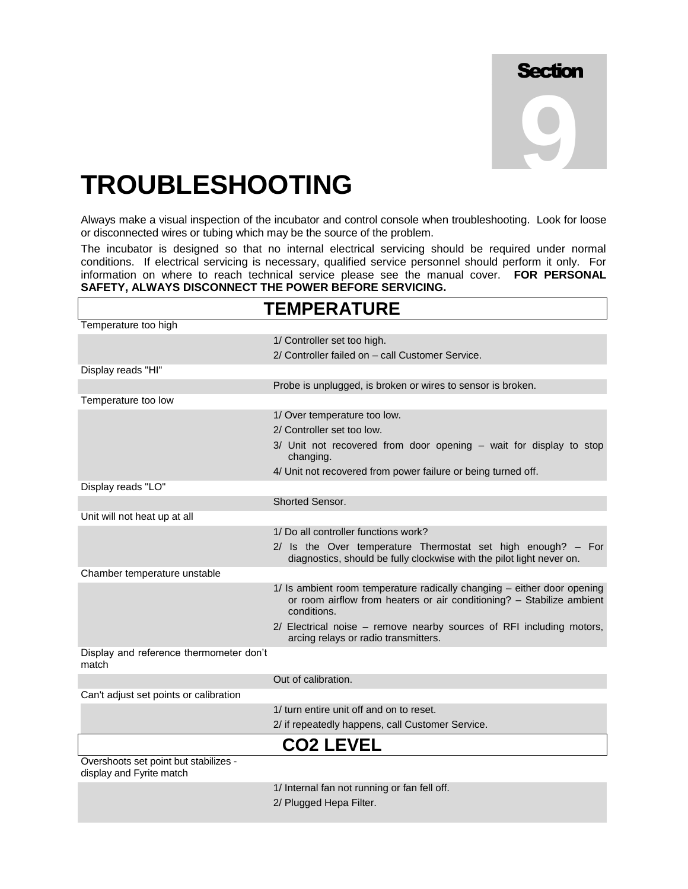### **TROUBLESHOOTING**

Always make a visual inspection of the incubator and control console when troubleshooting. Look for loose or disconnected wires or tubing which may be the source of the problem.

The incubator is designed so that no internal electrical servicing should be required under normal conditions. If electrical servicing is necessary, qualified service personnel should perform it only. For information on where to reach technical service please see the manual cover. **FOR PERSONAL SAFETY, ALWAYS DISCONNECT THE POWER BEFORE SERVICING.**

|                                                                   | <b>TEMPERATURE</b>                                                                                                                                              |
|-------------------------------------------------------------------|-----------------------------------------------------------------------------------------------------------------------------------------------------------------|
| Temperature too high                                              |                                                                                                                                                                 |
|                                                                   | 1/ Controller set too high.                                                                                                                                     |
|                                                                   | 2/ Controller failed on - call Customer Service.                                                                                                                |
| Display reads "HI"                                                |                                                                                                                                                                 |
|                                                                   | Probe is unplugged, is broken or wires to sensor is broken.                                                                                                     |
| Temperature too low                                               |                                                                                                                                                                 |
|                                                                   | 1/ Over temperature too low.                                                                                                                                    |
|                                                                   | 2/ Controller set too low.                                                                                                                                      |
|                                                                   | 3/ Unit not recovered from door opening - wait for display to stop<br>changing.                                                                                 |
|                                                                   | 4/ Unit not recovered from power failure or being turned off.                                                                                                   |
| Display reads "LO"                                                |                                                                                                                                                                 |
|                                                                   | Shorted Sensor.                                                                                                                                                 |
| Unit will not heat up at all                                      |                                                                                                                                                                 |
|                                                                   | 1/ Do all controller functions work?                                                                                                                            |
|                                                                   | 2/ Is the Over temperature Thermostat set high enough? - For<br>diagnostics, should be fully clockwise with the pilot light never on.                           |
| Chamber temperature unstable                                      |                                                                                                                                                                 |
|                                                                   | 1/ Is ambient room temperature radically changing - either door opening<br>or room airflow from heaters or air conditioning? - Stabilize ambient<br>conditions. |
|                                                                   | 2/ Electrical noise – remove nearby sources of RFI including motors,<br>arcing relays or radio transmitters.                                                    |
| Display and reference thermometer don't<br>match                  |                                                                                                                                                                 |
|                                                                   | Out of calibration.                                                                                                                                             |
| Can't adjust set points or calibration                            |                                                                                                                                                                 |
|                                                                   | 1/ turn entire unit off and on to reset.                                                                                                                        |
|                                                                   | 2/ if repeatedly happens, call Customer Service.                                                                                                                |
|                                                                   | <b>CO2 LEVEL</b>                                                                                                                                                |
| Overshoots set point but stabilizes -<br>display and Fyrite match |                                                                                                                                                                 |
|                                                                   | 1/ Internal fan not running or fan fell off.                                                                                                                    |
|                                                                   | 2/ Plugged Hepa Filter.                                                                                                                                         |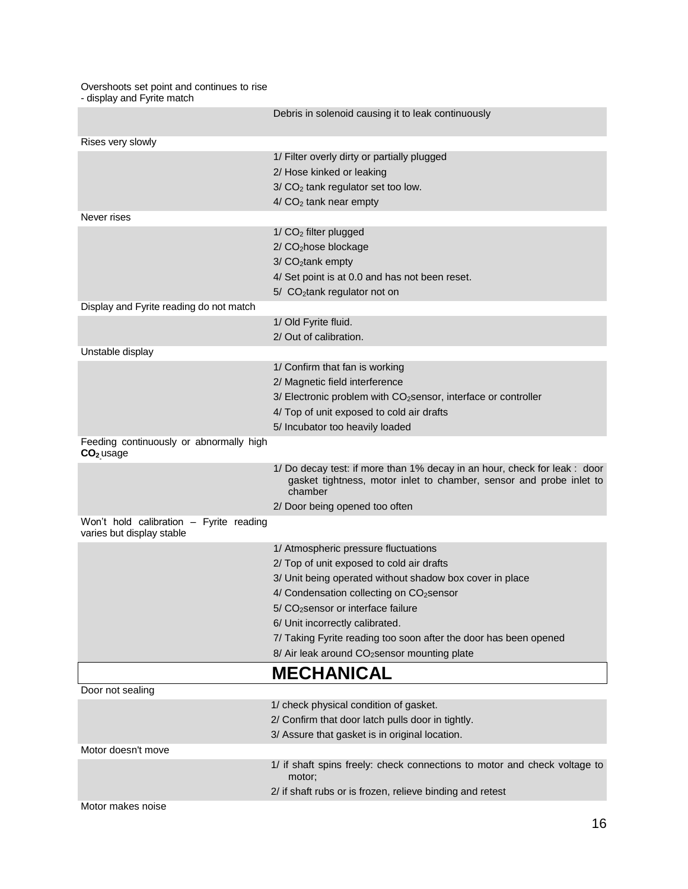#### Overshoots set point and continues to rise

- display and Fyrite match

|                                                                      | Debris in solenoid causing it to leak continuously                                                                                                          |
|----------------------------------------------------------------------|-------------------------------------------------------------------------------------------------------------------------------------------------------------|
| Rises very slowly                                                    |                                                                                                                                                             |
|                                                                      | 1/ Filter overly dirty or partially plugged                                                                                                                 |
|                                                                      | 2/ Hose kinked or leaking                                                                                                                                   |
|                                                                      | $3/CO2$ tank regulator set too low.                                                                                                                         |
|                                                                      | $4/CO2$ tank near empty                                                                                                                                     |
| Never rises                                                          |                                                                                                                                                             |
|                                                                      | $1/CO2$ filter plugged                                                                                                                                      |
|                                                                      | 2/ CO <sub>2</sub> hose blockage                                                                                                                            |
|                                                                      | 3/ CO <sub>2</sub> tank empty                                                                                                                               |
|                                                                      | 4/ Set point is at 0.0 and has not been reset.                                                                                                              |
|                                                                      | 5/ CO <sub>2</sub> tank regulator not on                                                                                                                    |
| Display and Fyrite reading do not match                              |                                                                                                                                                             |
|                                                                      | 1/ Old Fyrite fluid.                                                                                                                                        |
|                                                                      | 2/ Out of calibration.                                                                                                                                      |
| Unstable display                                                     |                                                                                                                                                             |
|                                                                      | 1/ Confirm that fan is working                                                                                                                              |
|                                                                      | 2/ Magnetic field interference                                                                                                                              |
|                                                                      | 3/ Electronic problem with CO <sub>2</sub> sensor, interface or controller                                                                                  |
|                                                                      | 4/ Top of unit exposed to cold air drafts                                                                                                                   |
|                                                                      | 5/ Incubator too heavily loaded                                                                                                                             |
| Feeding continuously or abnormally high<br>CO <sub>2</sub> usage     |                                                                                                                                                             |
|                                                                      | 1/ Do decay test: if more than 1% decay in an hour, check for leak : door<br>gasket tightness, motor inlet to chamber, sensor and probe inlet to<br>chamber |
|                                                                      | 2/ Door being opened too often                                                                                                                              |
| Won't hold calibration - Fyrite reading<br>varies but display stable |                                                                                                                                                             |
|                                                                      | 1/ Atmospheric pressure fluctuations                                                                                                                        |
|                                                                      | 2/ Top of unit exposed to cold air drafts                                                                                                                   |
|                                                                      | 3/ Unit being operated without shadow box cover in place                                                                                                    |
|                                                                      | 4/ Condensation collecting on CO <sub>2</sub> sensor                                                                                                        |
|                                                                      | $5/CO2$ sensor or interface failure                                                                                                                         |
|                                                                      | 6/ Unit incorrectly calibrated.                                                                                                                             |
|                                                                      | 7/ Taking Fyrite reading too soon after the door has been opened                                                                                            |
|                                                                      | 8/ Air leak around CO <sub>2</sub> sensor mounting plate                                                                                                    |
|                                                                      | <b>MECHANICAL</b>                                                                                                                                           |
| Door not sealing                                                     |                                                                                                                                                             |
|                                                                      | 1/ check physical condition of gasket.                                                                                                                      |
|                                                                      | 2/ Confirm that door latch pulls door in tightly.                                                                                                           |
|                                                                      | 3/ Assure that gasket is in original location.                                                                                                              |
| Motor doesn't move                                                   |                                                                                                                                                             |
|                                                                      | 1/ if shaft spins freely: check connections to motor and check voltage to<br>motor;                                                                         |
|                                                                      | 2/ if shaft rubs or is frozen, relieve binding and retest                                                                                                   |
| Motor makes noise                                                    |                                                                                                                                                             |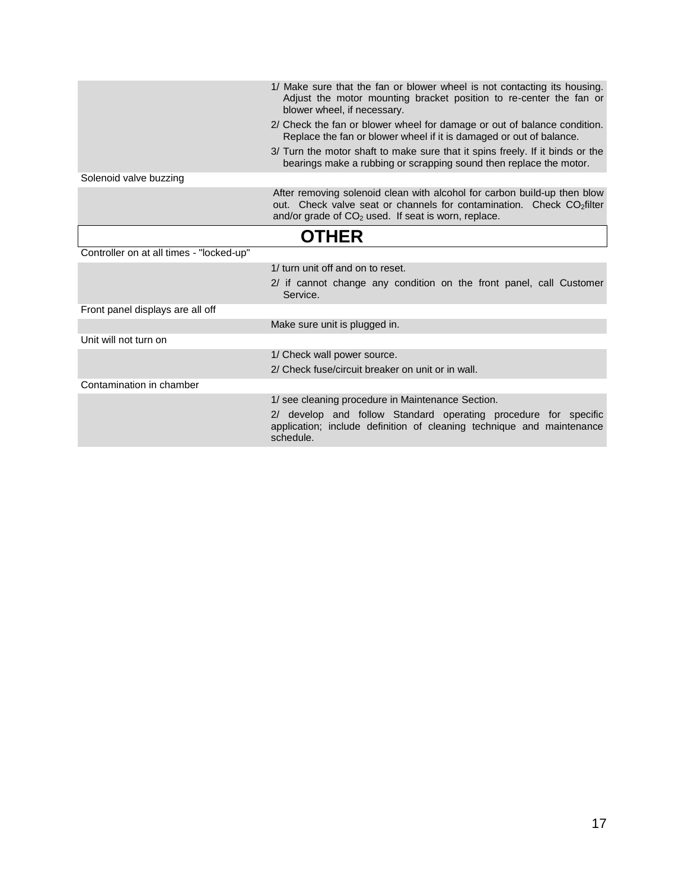|                                          | 1/ Make sure that the fan or blower wheel is not contacting its housing.<br>Adjust the motor mounting bracket position to re-center the fan or<br>blower wheel, if necessary.                                          |
|------------------------------------------|------------------------------------------------------------------------------------------------------------------------------------------------------------------------------------------------------------------------|
|                                          | 2/ Check the fan or blower wheel for damage or out of balance condition.<br>Replace the fan or blower wheel if it is damaged or out of balance.                                                                        |
|                                          | 3/ Turn the motor shaft to make sure that it spins freely. If it binds or the<br>bearings make a rubbing or scrapping sound then replace the motor.                                                                    |
| Solenoid valve buzzing                   |                                                                                                                                                                                                                        |
|                                          | After removing solenoid clean with alcohol for carbon build-up then blow<br>out. Check valve seat or channels for contamination. Check CO <sub>2</sub> filter<br>and/or grade of $CO2$ used. If seat is worn, replace. |
|                                          | <b>OTHER</b>                                                                                                                                                                                                           |
| Controller on at all times - "locked-up" |                                                                                                                                                                                                                        |
|                                          | 1/ turn unit off and on to reset.                                                                                                                                                                                      |
|                                          | 2/ if cannot change any condition on the front panel, call Customer<br>Service.                                                                                                                                        |
| Front panel displays are all off         |                                                                                                                                                                                                                        |
|                                          | Make sure unit is plugged in.                                                                                                                                                                                          |
| Unit will not turn on                    |                                                                                                                                                                                                                        |
|                                          | 1/ Check wall power source.                                                                                                                                                                                            |
|                                          | 2/ Check fuse/circuit breaker on unit or in wall.                                                                                                                                                                      |
| Contamination in chamber                 |                                                                                                                                                                                                                        |
|                                          | 1/ see cleaning procedure in Maintenance Section.<br>2/ develop and follow Standard operating procedure for specific<br>application; include definition of cleaning technique and maintenance<br>schedule.             |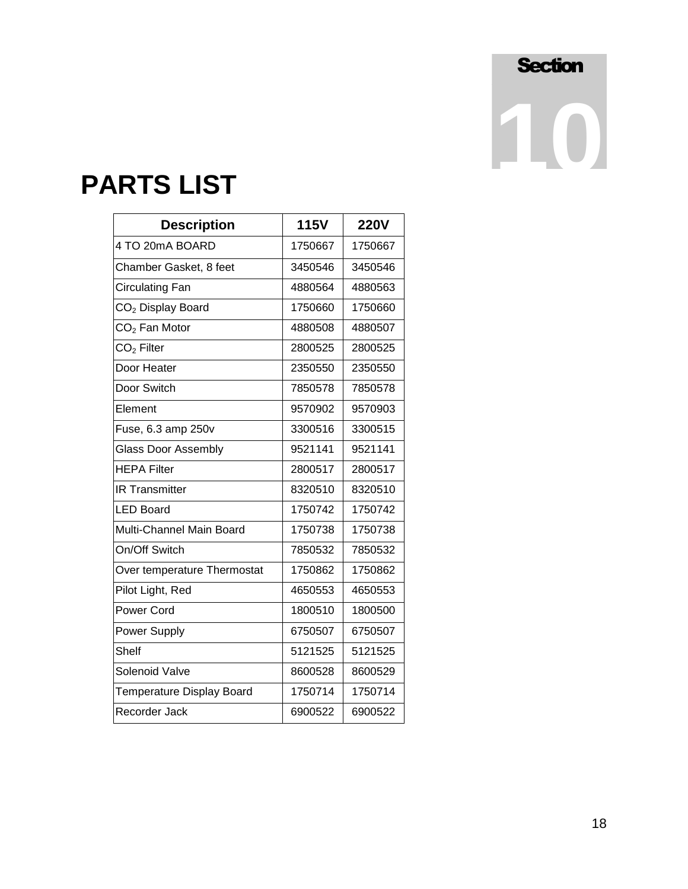### **PARTS LIST**

| <b>Description</b>            | <b>115V</b> | <b>220V</b> |
|-------------------------------|-------------|-------------|
| 4 TO 20mA BOARD               | 1750667     | 1750667     |
| Chamber Gasket, 8 feet        | 3450546     | 3450546     |
| <b>Circulating Fan</b>        | 4880564     | 4880563     |
| CO <sub>2</sub> Display Board | 1750660     | 1750660     |
| $CO2$ Fan Motor               | 4880508     | 4880507     |
| $CO2$ Filter                  | 2800525     | 2800525     |
| Door Heater                   | 2350550     | 2350550     |
| Door Switch                   | 7850578     | 7850578     |
| Element                       | 9570902     | 9570903     |
| Fuse, 6.3 amp 250v            | 3300516     | 3300515     |
| <b>Glass Door Assembly</b>    | 9521141     | 9521141     |
| <b>HEPA Filter</b>            | 2800517     | 2800517     |
| <b>IR Transmitter</b>         | 8320510     | 8320510     |
| <b>LED Board</b>              | 1750742     | 1750742     |
| Multi-Channel Main Board      | 1750738     | 1750738     |
| On/Off Switch                 | 7850532     | 7850532     |
| Over temperature Thermostat   | 1750862     | 1750862     |
| Pilot Light, Red              | 4650553     | 4650553     |
| <b>Power Cord</b>             | 1800510     | 1800500     |
| Power Supply                  | 6750507     | 6750507     |
| Shelf                         | 5121525     | 5121525     |
| <b>Solenoid Valve</b>         | 8600528     | 8600529     |
| Temperature Display Board     | 1750714     | 1750714     |
| Recorder Jack                 | 6900522     | 6900522     |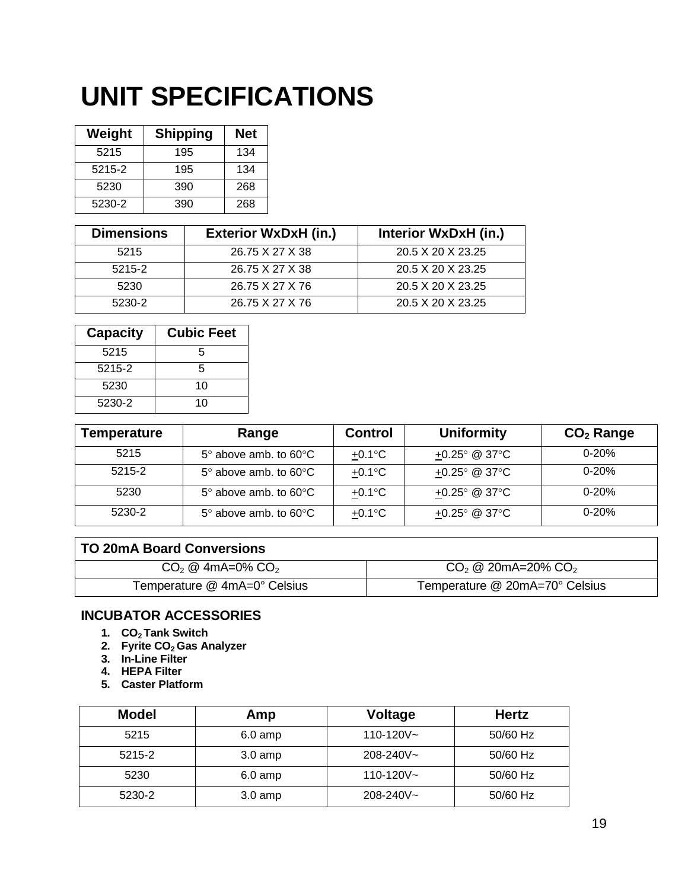## **UNIT SPECIFICATIONS**

| Weight | <b>Shipping</b> | <b>Net</b> |
|--------|-----------------|------------|
| 5215   | 195             | 134        |
| 5215-2 | 195             | 134        |
| 5230   | 390             | 268        |
| 5230-2 | 390             | 268        |

| <b>Dimensions</b> | <b>Exterior WxDxH (in.)</b> | Interior WxDxH (in.) |
|-------------------|-----------------------------|----------------------|
| 5215              | 26.75 X 27 X 38             | 20.5 X 20 X 23.25    |
| 5215-2            | 26.75 X 27 X 38             | 20.5 X 20 X 23.25    |
| 5230              | 26.75 X 27 X 76             | 20.5 X 20 X 23.25    |
| 5230-2            | 26.75 X 27 X 76             | 20.5 X 20 X 23.25    |

| <b>Capacity</b> | <b>Cubic Feet</b> |
|-----------------|-------------------|
| 5215            | 5                 |
| 5215-2          | 5                 |
| 5230            | 10                |
| 5230-2          | 10                |

| <b>Temperature</b> | Range                                | <b>Control</b>            | <b>Uniformity</b>                  | $CO2$ Range |
|--------------------|--------------------------------------|---------------------------|------------------------------------|-------------|
| 5215               | $5^\circ$ above amb. to $60^\circ$ C | $+0.1$ °C                 | +0.25 $^{\circ}$ @ 37 $^{\circ}$ C | $0 - 20%$   |
| 5215-2             | $5^\circ$ above amb. to $60^\circ$ C | $+0.1$ °C                 | +0.25 $^{\circ}$ @ 37 $^{\circ}$ C | $0 - 20%$   |
| 5230               | $5^\circ$ above amb. to $60^\circ$ C | $+0.1$ °C                 | +0.25 $^{\circ}$ @ 37 $^{\circ}$ C | $0 - 20%$   |
| 5230-2             | $5^\circ$ above amb. to $60^\circ$ C | +0.1 $\mathrm{^{\circ}C}$ | +0.25 $^{\circ}$ @ 37 $^{\circ}$ C | $0 - 20%$   |

| <b>TO 20mA Board Conversions</b> |                                                |
|----------------------------------|------------------------------------------------|
| $CO2 \& 4mA=0\% CO2$             | $CO2 \otimes 20 \text{ mA} = 20\% \text{ CO}2$ |
| Temperature @ 4mA=0° Celsius     | Temperature @ 20mA=70° Celsius                 |

#### **INCUBATOR ACCESSORIES**

- **1. CO2 Tank Switch**
- **2. Fyrite CO2 Gas Analyzer**
- **3. In-Line Filter**
- **4. HEPA Filter**
- **5. Caster Platform**

| <b>Model</b> | Amp               | <b>Voltage</b> | <b>Hertz</b> |
|--------------|-------------------|----------------|--------------|
| 5215         | $6.0$ amp         | $110 - 120V -$ | 50/60 Hz     |
| 5215-2       | $3.0 \text{ amp}$ | 208-240V~      | 50/60 Hz     |
| 5230         | $6.0$ amp         | $110 - 120V -$ | 50/60 Hz     |
| 5230-2       | $3.0$ amp         | 208-240V~      | 50/60 Hz     |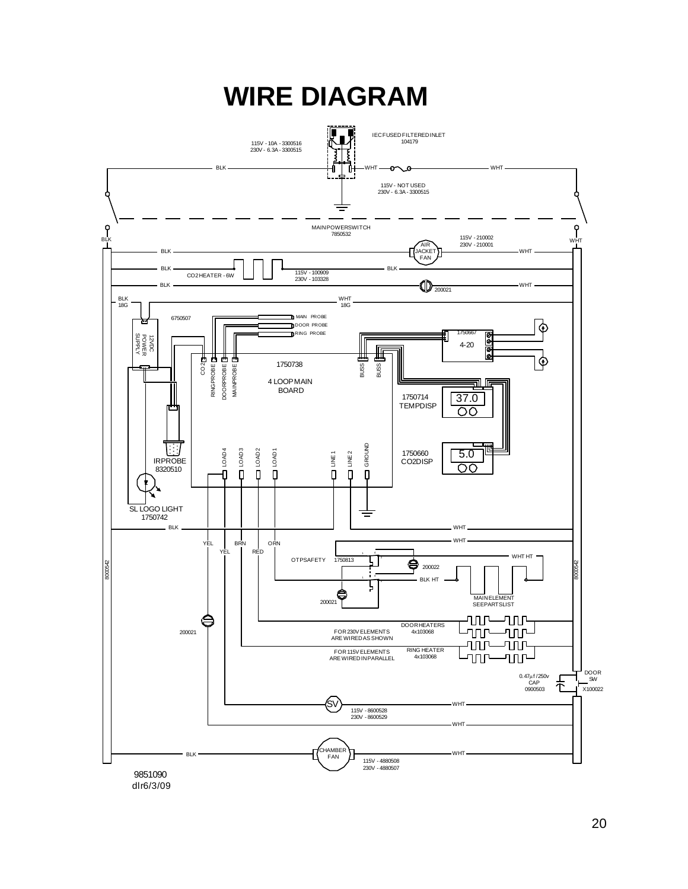

#### 20